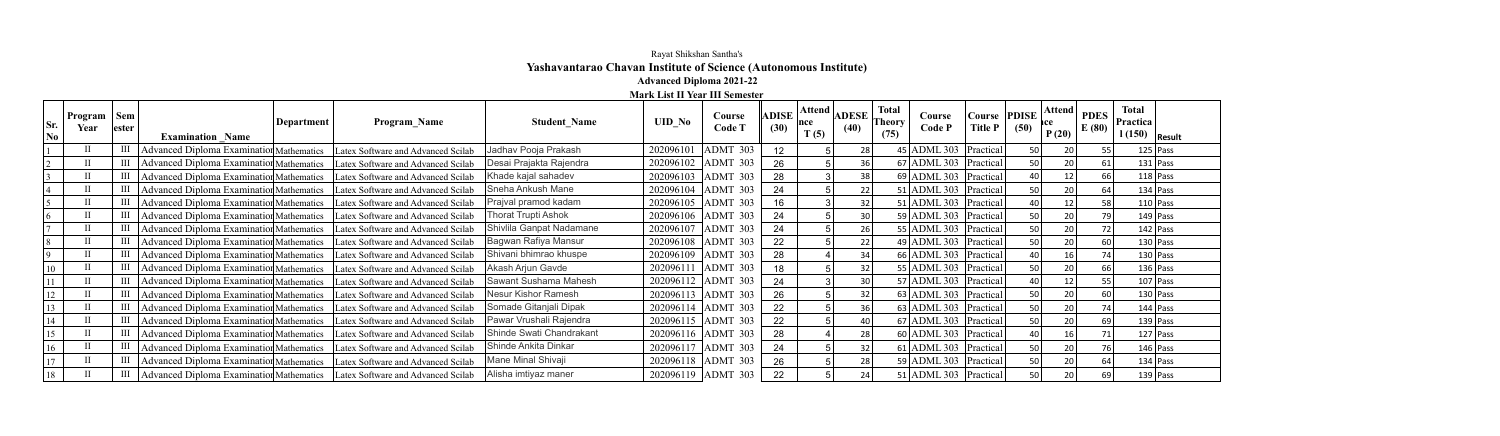## Rayat Shikshan Santha's **Yashavantarao Chavan Institute of Science (Autonomous Institute)**

## **Advanced Diploma 2021-22**

**Mark List II Year III Semester**

| Sr.<br>$\bf No$ | <b>Program</b> $\vert$ Sem<br>Year | lester | <b>Examination Name</b>                         | Department | Program Name                                                                  | <b>Student Name</b>      | <b>UID No</b> | <b>Course</b><br><b>Code T</b> | <b>ADISE</b><br>(30) | Attend  <br> nce <br>T(5) | <b>ADESE</b><br>(40) | <b>Total</b><br>Theory<br>(75) | Course<br>Code P            | Course<br><b>Title P</b> | <b>PDISE</b><br>(50) | <b>Attend</b><br>P(20) | <b>PDES</b><br>E(80) | <b>Total</b><br>Practica<br>$\vert$ 1 (150) $\vert$ Result |
|-----------------|------------------------------------|--------|-------------------------------------------------|------------|-------------------------------------------------------------------------------|--------------------------|---------------|--------------------------------|----------------------|---------------------------|----------------------|--------------------------------|-----------------------------|--------------------------|----------------------|------------------------|----------------------|------------------------------------------------------------|
|                 |                                    |        | Advanced Diploma Examination Mathematics        |            | Latex Software and Advanced Scilab                                            | Jadhav Pooja Prakash     | 202096101     | ADMT 303                       | 12 <sup>2</sup>      |                           | 28                   |                                | $45$ ADML 303 Practical     |                          | 50 <sup>1</sup>      | 20                     | 55                   | $125$ Pass                                                 |
|                 |                                    |        | Advanced Diploma Examination Mathematics        |            | Latex Software and Advanced Scilab                                            | Desai Prajakta Rajendra  | 202096102     | ADMT 303                       | 26                   |                           | 36                   |                                | 67 ADML 303   Practical     |                          | 50                   | 20                     | 61                   | $131$ Pass                                                 |
|                 |                                    |        | Advanced Diploma Examination Mathematics        |            | Latex Software and Advanced Scilab                                            | Khade kajal sahadev      | 202096103     | ADMT 303                       | 28                   |                           | 38                   |                                | $69$ ADML 303 Practical     |                          | 40 l                 | 12                     | 66                   | $118$ Pass                                                 |
|                 |                                    |        | <b>Advanced Diploma Examination Mathematics</b> |            | Latex Software and Advanced Scilab                                            | Sneha Ankush Mane        | 202096104     | ADMT 303                       | 24                   |                           | 22                   |                                | $51$ ADML 303   Practical   |                          | 50                   | 20                     | 64                   | $134$ Pass                                                 |
|                 |                                    |        | Advanced Diploma Examination Mathematics        |            | Latex Software and Advanced Scilab                                            | Prajval pramod kadam     | 202096105     | ADMT 303                       | 16                   |                           | 32                   |                                | $51$ ADML 303   Practical   |                          | 40 l                 | 12                     | 58                   | $110$ Pass                                                 |
|                 |                                    |        | Advanced Diploma Examination Mathematics        |            | Latex Software and Advanced Scilab                                            | Thorat Trupti Ashok      | 202096106     | ADMT 303                       | 24                   |                           | 30                   |                                | $59$ ADML 303               | Practical                | 50                   | 20                     | 79                   | $149$ Pass                                                 |
|                 |                                    |        | <b>Advanced Diploma Examination Mathematics</b> |            | Latex Software and Advanced Scilab                                            | Shivlila Ganpat Nadamane | 202096107     | ADMT 303                       | 24                   |                           | 26                   |                                | 55 ADML 303 Practical       |                          | 50                   | 20                     | 72                   | $142$ Pass                                                 |
|                 |                                    |        | Advanced Diploma Examination Mathematics        |            | Latex Software and Advanced Scilab                                            | Bagwan Rafiya Mansur     | 202096108     | ADMT 303                       | 22                   |                           | 22                   |                                | 49 ADML 303   Practical     |                          | 50                   | 20                     | 60                   | $130$ Pass                                                 |
|                 |                                    |        | <b>Advanced Diploma Examination Mathematics</b> |            | Latex Software and Advanced Scilab                                            | Shivani bhimrao khuspe   | 202096109     | ADMT 303                       | 28                   |                           | 34                   |                                | 66 ADML 303 Practical       |                          | 40 l                 |                        | 74                   | $130$ Pass                                                 |
| 10              |                                    |        | Advanced Diploma Examination Mathematics        |            | Latex Software and Advanced Scilab                                            | Akash Arjun Gavde        | 202096111     | ADMT 303                       | 18                   |                           | 32                   |                                | 55 ADML 303                 | Practical                | 50                   | 20                     | 66                   | $136$ Pass                                                 |
|                 |                                    |        | Advanced Diploma Examination Mathematics        |            | Latex Software and Advanced Scilab                                            | Sawant Sushama Mahesh    | 202096112     | ADMT 303                       | 24                   |                           | 30                   |                                | 57 ADML 303 Practical       |                          | 40                   | 12                     | 55                   | $107$ Pass                                                 |
| 12              |                                    |        | <b>Advanced Diploma Examination Mathematics</b> |            | Latex Software and Advanced Scilab                                            | Nesur Kishor Ramesh      | 202096113     | ADMT 303                       | 26                   |                           | 32                   |                                | 63 ADML 303 Practical       |                          | 50                   | 20                     | 60                   | $130$ Pass                                                 |
| 13              |                                    |        | <b>Advanced Diploma Examination Mathematics</b> |            | Latex Software and Advanced Scilab                                            | Somade Gitanjali Dipak   | 202096114     | $ADMT$ 303                     | 22                   |                           | 36                   |                                | $63$ ADML 303 Practical     |                          | 50                   | 20                     | 74                   | $144$ Pass                                                 |
| 14              |                                    |        | Advanced Diploma Examination Mathematics        |            | Latex Software and Advanced Scilab                                            | Pawar Vrushali Rajendra  | 202096115     | ADMT 303                       | 22                   |                           | 40                   |                                | $67$ ADML 303               | Practical                | 50                   | 20                     | 69                   | $139$ Pass                                                 |
| 15              |                                    |        | <b>Advanced Diploma Examination Mathematics</b> |            | Latex Software and Advanced Scilab                                            | Shinde Swati Chandrakant | 202096116     | $ADMT$ 303                     | 28                   |                           | 28                   |                                | $60  $ ADML 303   Practical |                          | 40 l                 |                        | 71                   | $127$ Pass                                                 |
| 16              |                                    |        | <b>Advanced Diploma Examination Mathematics</b> |            | Latex Software and Advanced Scilab                                            | Shinde Ankita Dinkar     | 202096117     | ADMT 303                       | 24                   |                           | 32                   |                                | 61 ADML 303   Practical     |                          | 50                   | 20                     | 76                   | $146$ Pass                                                 |
| 17              |                                    |        | <b>Advanced Diploma Examination Mathematics</b> |            | Latex Software and Advanced Scilab                                            | Mane Minal Shivaji       | 202096118     | $ADMT$ 303                     | 26                   |                           | 28                   |                                | 59   ADML 303   Practical   |                          | 50                   | 20                     | 64                   | $134$ Pass                                                 |
| 18              |                                    |        |                                                 |            | Advanced Diploma Examination Mathematics   Latex Software and Advanced Scilab | Alisha imtiyaz maner     |               | 202096119 ADMT 303             | 22                   |                           | 24                   |                                | 51 ADML 303   Practical     |                          | 50                   | 20                     | 69                   | $139$ Pass                                                 |